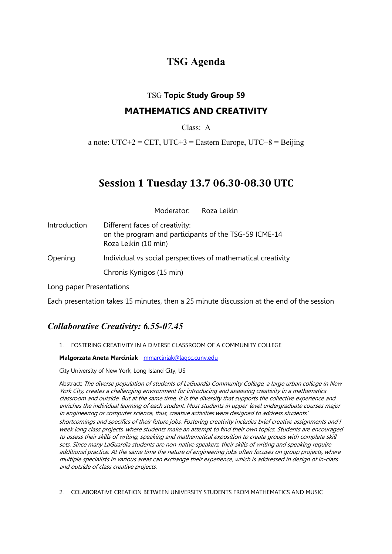# **TSG Agenda**

### TSG **Topic Study Group 59**

### **MATHEMATICS AND CREATIVITY**

Class: A

a note:  $UTC+2 = CET$ ,  $UTC+3 = Eastern Europe$ ,  $UTC+8 = Beijing$ 

# **Session 1 Tuesday 13.7 06.30-08.30 UTC**

Moderator: Roza Leikin

Introduction Different faces of creativity: on the program and participants of the TSG-59 ICME-14 Roza Leikin (10 min) Opening Individual vs social perspectives of mathematical creativity Chronis Kynigos (15 min)

Long paper Presentations

Each presentation takes 15 minutes, then a 25 minute discussion at the end of the session

### *Collaborative Creativity: 6.55-07.45*

1. FOSTERING CREATIVITY IN A DIVERSE CLASSROOM OF A COMMUNITY COLLEGE

**Malgorzata Aneta Marciniak** - mmarciniak@lagcc.cuny.edu

City University of New York, Long Island City, US

Abstract: The diverse population of students of LaGuardia Community College, a large urban college in New York City, creates a challenging environment for introducing and assessing creativity in a mathematics classroom and outside. But at the same time, it is the diversity that supports the collective experience and enriches the individual learning of each student. Most students in upper-level undergraduate courses major in engineering or computer science, thus, creative activities were designed to address students' shortcomings and specifics of their future jobs. Fostering creativity includes brief creative assignments and ৷ week long class projects, where students make an attempt to find their own topics. Students are encouraged to assess their skills of writing, speaking and mathematical exposition to create groups with complete skill sets. Since many LaGuardia students are non-native speakers, their skills of writing and speaking require additional practice. At the same time the nature of engineering jobs often focuses on group projects, where multiple specialists in various areas can exchange their experience, which is addressed in design of in-class and outside of class creative projects.

2. COLABORATIVE CREATION BETWEEN UNIVERSITY STUDENTS FROM MATHEMATICS AND MUSIC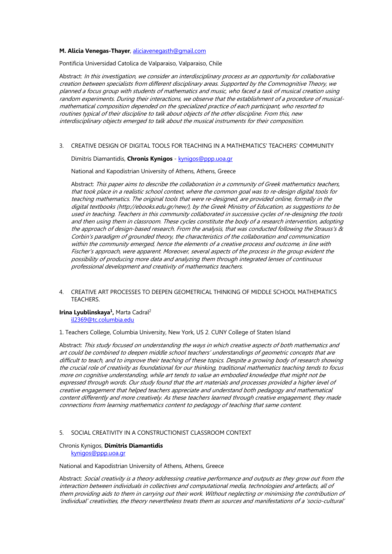### **M. Alicia Venegas-Thayer**, aliciavenegasth@gmail.com

Pontificia Universidad Catolica de Valparaiso, Valparaiso, Chile

Abstract: In this investigation, we consider an interdisciplinary process as an opportunity for collaborative creation between specialists from different disciplinary areas. Supported by the Commognitive Theory, we planned a focus group with students of mathematics and music, who faced a task of musical creation using random experiments. During their interactions, we observe that the establishment of a procedure of musicalmathematical composition depended on the specialized practice of each participant, who resorted to routines typical of their discipline to talk about objects of the other discipline. From this, new interdisciplinary objects emerged to talk about the musical instruments for their composition.

3. CREATIVE DESIGN OF DIGITAL TOOLS FOR TEACHING IN A MATHEMATICS' TEACHERS' COMMUNITY

#### Dimitris Diamantidis, **Chronis Kynigos** - kynigos@ppp.uoa.gr

National and Kapodistrian University of Athens, Athens, Greece

Abstract: This paper aims to describe the collaboration in a community of Greek mathematics teachers, that took place in a realistic school context, where the common goal was to re-design digital tools for teaching mathematics. The original tools that were re-designed, are provided online, formally in the digital textbooks (http://ebooks.edu.gr/new/), by the Greek Ministry of Education, as suggestions to be used in teaching. Teachers in this community collaborated in successive cycles of re-designing the tools and then using them in classroom. These cycles constitute the body of a research intervention, adopting the approach of design-based research. From the analysis, that was conducted following the Strauss's & Corbin's paradigm of grounded theory, the characteristics of the collaboration and communication within the community emerged, hence the elements of a creative process and outcome, in line with Fischer's approach, were apparent. Moreover, several aspects of the process in the group evident the possibility of producing more data and analyzing them through integrated lenses of continuous professional development and creativity of mathematics teachers.

4. CREATIVE ART PROCESSES TO DEEPEN GEOMETRICAL THINKING OF MIDDLE SCHOOL MATHEMATICS TEACHERS.

#### **Irina Lyublinskaya<sup>1</sup>, Marta Cadral<sup>2</sup>** il2369@tc.columbia.edu

1. Teachers College, Columbia University, New York, US 2. CUNY College of Staten Island

Abstract: This study focused on understanding the ways in which creative aspects of both mathematics and art could be combined to deepen middle school teachers' understandings of geometric concepts that are difficult to teach, and to improve their teaching of these topics. Despite a growing body of research showing the crucial role of creativity as foundational for our thinking, traditional mathematics teaching tends to focus more on cognitive understanding, while art tends to value an embodied knowledge that might not be expressed through words. Our study found that the art materials and processes provided a higher level of creative engagement that helped teachers appreciate and understand both pedagogy and mathematical content differently and more creatively. As these teachers learned through creative engagement, they made connections from learning mathematics content to pedagogy of teaching that same content.

### 5. SOCIAL CREATIVITY IN A CONSTRUCTIONIST CLASSROOM CONTEXT

### Chronis Kynigos, **Dimitris Diamantidis**

kynigos@ppp.uoa.gr

National and Kapodistrian University of Athens, Athens, Greece

Abstract: Social creativity is a theory addressing creative performance and outputs as they grow out from the interaction between individuals in collectives and computational media, technologies and artefacts, all of them providing aids to them in carrying out their work. Without neglecting or minimising the contribution of 'individual' creativities, the theory nevertheless treats them as sources and manifestations of a 'socio-cultural'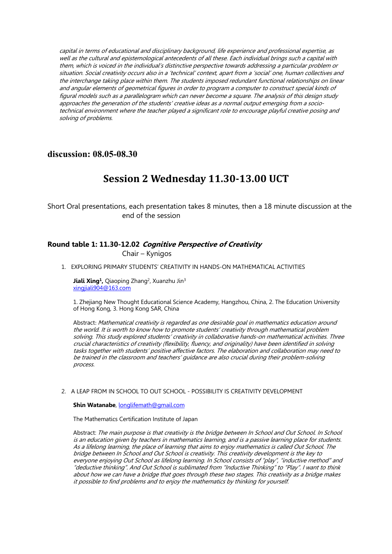capital in terms of educational and disciplinary background, life experience and professional expertise, as well as the cultural and epistemological antecedents of all these. Each individual brings such a capital with them, which is voiced in the individual's distinctive perspective towards addressing a particular problem or situation. Social creativity occurs also in a 'technical' context, apart from a 'social' one, human collectives and the interchange taking place within them. The students imposed redundant functional relationships on linear and angular elements of geometrical figures in order to program a computer to construct special kinds of figural models such as a parallelogram which can never become a square. The analysis of this design study approaches the generation of the students' creative ideas as a normal output emerging from a sociotechnical environment where the teacher played a significant role to encourage playful creative posing and solving of problems.

### **discussion: 08.05-08.30**

# **Session 2 Wednesday 11.30-13.00 UCT**

Short Oral presentations, each presentation takes 8 minutes, then a 18 minute discussion at the end of the session

### **Round table 1: 11.30-12.02 Cognitive Perspective of Creativity**

Chair – Kynigos

1. EXPLORING PRIMARY STUDENTS' CREATIVITY IN HANDS-ON MATHEMATICAL ACTIVITIES

Jiali Xing<sup>1</sup>, Qiaoping Zhang<sup>2</sup>, Xuanzhu Jin<sup>3</sup> xingjiali904@163.com

1. Zhejiang New Thought Educational Science Academy, Hangzhou, China, 2. The Education University of Hong Kong, 3. Hong Kong SAR, China

Abstract: Mathematical creativity is regarded as one desirable goal in mathematics education around the world. It is worth to know how to promote students' creativity through mathematical problem solving. This study explored students' creativity in collaborative hands-on mathematical activities. Three crucial characteristics of creativity (flexibility, fluency, and originality) have been identified in solving tasks together with students' positive affective factors. The elaboration and collaboration may need to be trained in the classroom and teachers' guidance are also crucial during their problem-solving process.

#### 2. A LEAP FROM IN SCHOOL TO OUT SCHOOL - POSSIBILITY IS CREATIVITY DEVELOPMENT

**Shin Watanabe**, longlifemath@gmail.com

The Mathematics Certification Institute of Japan

Abstract: The main purpose is that creativity is the bridge between In School and Out School. In School is an education given by teachers in mathematics learning, and is a passive learning place for students. As a lifelong learning, the place of learning that aims to enjoy mathematics is called Out School. The bridge between In School and Out School is creativity. This creativity development is the key to everyone enjoying Out School as lifelong learning. In School consists of "play", "inductive method" and "deductive thinking". And Out School is sublimated from "Inductive Thinking" to "Play". I want to think about how we can have a bridge that goes through these two stages. This creativity as a bridge makes it possible to find problems and to enjoy the mathematics by thinking for yourself.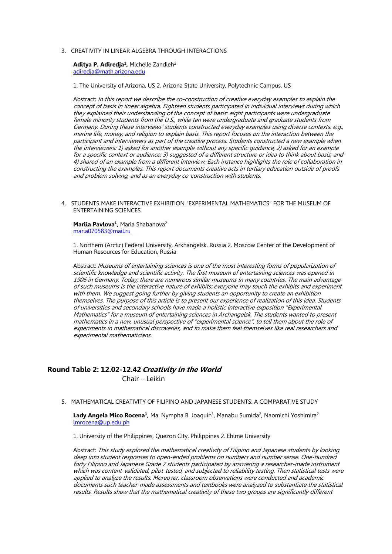#### 3. CREATIVITY IN LINEAR ALGEBRA THROUGH INTERACTIONS

#### Aditva P. Adiredia<sup>1</sup>, Michelle Zandieh<sup>2</sup> adiredja@math.arizona.edu

1. The University of Arizona, US 2. Arizona State University, Polytechnic Campus, US

Abstract: In this report we describe the co-construction of creative everyday examples to explain the concept of basis in linear algebra. Eighteen students participated in individual interviews during which they explained their understanding of the concept of basis: eight participants were undergraduate female minority students from the U.S., while ten were undergraduate and graduate students from Germany. During these interviews' students constructed everyday examples using diverse contexts, e.g., marine life, money, and religion to explain basis. This report focuses on the interaction between the participant and interviewers as part of the creative process. Students constructed a new example when the interviewers: 1) asked for another example without any specific guidance; 2) asked for an example for a specific context or audience; 3) suggested of a different structure or idea to think about basis; and 4) shared of an example from a different interview. Each instance highlights the role of collaboration in constructing the examples. This report documents creative acts in tertiary education outside of proofs and problem solving, and as an everyday co-construction with students.

4. STUDENTS MAKE INTERACTIVE EXHIBITION "EXPERIMENTAL MATHEMATICS" FOR THE MUSEUM OF ENTERTAINING SCIENCES

Mariia Pavlova<sup>1</sup>, Maria Shabanova<sup>2</sup> maria070583@mail.ru

1. Northern (Arctic) Federal University, Arkhangelsk, Russia 2. Moscow Center of the Development of Human Resources for Education, Russia

Abstract: Museums of entertaining sciences is one of the most interesting forms of popularization of scientific knowledge and scientific activity. The first museum of entertaining sciences was opened in 1906 in Germany. Today, there are numerous similar museums in many countries. The main advantage of such museums is the interactive nature of exhibits: everyone may touch the exhibits and experiment with them. We suggest going further by giving students an opportunity to create an exhibition themselves. The purpose of this article is to present our experience of realization of this idea. Students of universities and secondary schools have made a holistic interactive exposition "Experimental Mathematics" for a museum of entertaining sciences in Archangelsk. The students wanted to present mathematics in a new, unusual perspective of "experimental science", to tell them about the role of experiments in mathematical discoveries, and to make them feel themselves like real researchers and experimental mathematicians.

### **Round Table 2: 12.02-12.42 Creativity in the World**

Chair – Leikin

5. MATHEMATICAL CREATIVITY OF FILIPINO AND JAPANESE STUDENTS: A COMPARATIVE STUDY

Lady Angela Mico Rocena<sup>1</sup>, Ma. Nympha B. Joaquin<sup>1</sup>, Manabu Sumida<sup>2</sup>, Naomichi Yoshimira<sup>2</sup> lmrocena@up.edu.ph

1. University of the Philippines, Quezon CIty, Philippines 2. Ehime University

Abstract: This study explored the mathematical creativity of Filipino and Japanese students by looking deep into student responses to open-ended problems on numbers and number sense. One-hundred forty Filipino and Japanese Grade 7 students participated by answering a researcher-made instrument which was content-validated, pilot-tested, and subjected to reliability testing. Then statistical tests were applied to analyze the results. Moreover, classroom observations were conducted and academic documents such teacher-made assessments and textbooks were analyzed to substantiate the statistical results. Results show that the mathematical creativity of these two groups are significantly different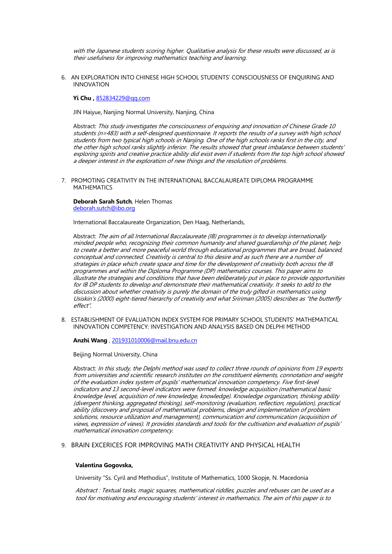with the Japanese students scoring higher. Qualitative analysis for these results were discussed, as is their usefulness for improving mathematics teaching and learning.

6. AN EXPLORATION INTO CHINESE HIGH SCHOOL STUDENTS' CONSCIOUSNESS OF ENQUIRING AND INNOVATION

**Yi Chu ,** 852834229@qq.com

JIN Haiyue, Nanjing Normal University, Nanjing, China

Abstract: This study investigates the consciousness of enquiring and innovation of Chinese Grade 10 students (n=483) with a self-designed questionnaire. It reports the results of a survey with high school students from two typical high schools in Nanjing. One of the high schools ranks first in the city, and the other high school ranks slightly inferior. The results showed that great imbalance between students' exploring spirits and creative practice ability did exist even if students from the top high school showed a deeper interest in the exploration of new things and the resolution of problems.

7. PROMOTING CREATIVITY IN THE INTERNATIONAL BACCALAUREATE DIPLOMA PROGRAMME **MATHEMATICS** 

**Deborah Sarah Sutch**, Helen Thomas deborah.sutch@ibo.org

International Baccalaureate Organization, Den Haag, Netherlands,

Abstract: The aim of all International Baccalaureate (IB) programmes is to develop internationally minded people who, recognizing their common humanity and shared guardianship of the planet, help to create a better and more peaceful world through educational programmes that are broad, balanced, conceptual and connected. Creativity is central to this desire and as such there are a number of strategies in place which create space and time for the development of creativity both across the IB programmes and within the Diploma Programme (DP) mathematics courses. This paper aims to illustrate the strategies and conditions that have been deliberately put in place to provide opportunities for IB DP students to develop and demonstrate their mathematical creativity. It seeks to add to the discussion about whether creativity is purely the domain of the truly gifted in mathematics using Usiskin's (2000) eight-tiered hierarchy of creativity and what Sririman (2005) describes as "the butterfly effect"*.*

8. ESTABLISHMENT OF EVALUATION INDEX SYSTEM FOR PRIMARY SCHOOL STUDENTS' MATHEMATICAL INNOVATION COMPETENCY: INVESTIGATION AND ANALYSIS BASED ON DELPHI METHOD

**Anzhi Wang** , 201931010006@mail.bnu.edu.cn

Beijing Normal University, China

Abstract: In this study, the Delphi method was used to collect three rounds of opinions from 19 experts from universities and scientific research institutes on the constituent elements, connotation and weight of the evaluation index system of pupils' mathematical innovation competency. Five first-level indicators and 13 second-level indicators were formed: knowledge acquisition (mathematical basic knowledge level, acquisition of new knowledge, knowledge). Knowledge organization, thinking ability (divergent thinking, aggregated thinking), self-monitoring (evaluation, reflection, regulation), practical ability (discovery and proposal of mathematical problems, design and implementation of problem solutions, resource utilization and management), communication and communication (acquisition of views, expression of views). It provides standards and tools for the cultivation and evaluation of pupils' mathematical innovation competency.

### 9. BRAIN EXCERICES FOR IMPROVING MATH CREATIVITY AND PHYSICAL HEALTH

#### **Valentina Gogovska,**

University "Ss. Cyril and Methodius", Institute of Mathematics, 1000 Skopje, N. Macedonia

Abstract : Textual tasks, magic squares, mathematical riddles, puzzles and rebuses can be used as a tool for motivating and encouraging students' interest in mathematics. The aim of this paper is to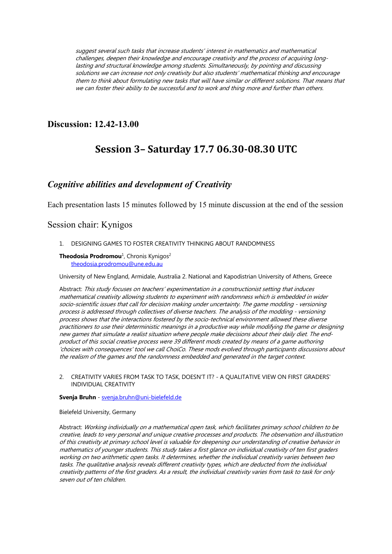suggest several such tasks that increase students' interest in mathematics and mathematical challenges, deepen their knowledge and encourage creativity and the process of acquiring longlasting and structural knowledge among students. Simultaneously, by pointing and discussing solutions we can increase not only creativity but also students' mathematical thinking and encourage them to think about formulating new tasks that will have similar or different solutions. That means that we can foster their ability to be successful and to work and thing more and further than others.

### **Discussion: 12.42-13.00**

# **Session 3– Saturday 17.7 06.30-08.30 UTC**

### *Cognitive abilities and development of Creativity*

Each presentation lasts 15 minutes followed by 15 minute discussion at the end of the session

### Session chair: Kynigos

1. DESIGNING GAMES TO FOSTER CREATIVITY THINKING ABOUT RANDOMNESS

### **Theodosia Prodromou**<sup>1</sup>, Chronis Kynigos<sup>2</sup> theodosia.prodromou@une.edu.au

University of New England, Armidale, Australia 2. National and Kapodistrian University of Athens, Greece

Abstract: This study focuses on teachers' experimentation in a constructionist setting that induces mathematical creativity allowing students to experiment with randomness which is embedded in wider socio-scientific issues that call for decision making under uncertainty. The game modding - versioning process is addressed through collectives of diverse teachers. The analysis of the modding - versioning process shows that the interactions fostered by the socio-technical environment allowed these diverse practitioners to use their deterministic meanings in a productive way while modifying the game or designing new games that simulate a realist situation where people make decisions about their daily diet. The endproduct of this social creative process were 39 different mods created by means of a game authoring 'choices with consequences' tool we call ChoiCo. These mods evolved through participants discussions about the realism of the games and the randomness embedded and generated in the target context.

2. CREATIVITY VARIES FROM TASK TO TASK, DOESN'T IT? - A QUALITATIVE VIEW ON FIRST GRADERS' INDIVIDUAL CREATIVITY

### **Svenja Bruhn** - svenja.bruhn@uni-bielefeld.de

#### Bielefeld University, Germany

Abstract: Working individually on a mathematical open task, which facilitates primary school children to be creative, leads to very personal and unique creative processes and products. The observation and illustration of this creativity at primary school level is valuable for deepening our understanding of creative behavior in mathematics of younger students. This study takes a first glance on individual creativity of ten first graders working on two arithmetic open tasks. It determines, whether the individual creativity varies between two tasks. The qualitative analysis reveals different creativity types, which are deducted from the individual creativity patterns of the first graders. As a result, the individual creativity varies from task to task for only seven out of ten children.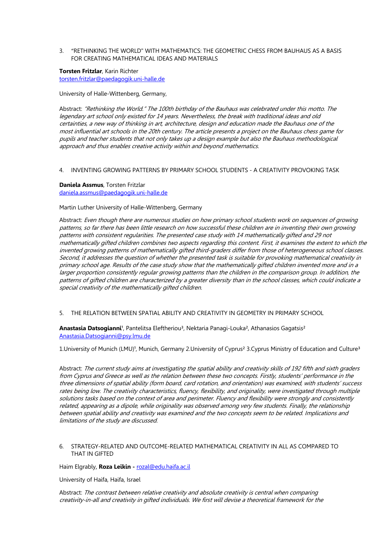3. "RETHINKING THE WORLD" WITH MATHEMATICS: THE GEOMETRIC CHESS FROM BAUHAUS AS A BASIS FOR CREATING MATHEMATICAL IDEAS AND MATERIALS

**Torsten Fritzlar**, Karin Richter torsten.fritzlar@paedagogik.uni-halle.de

University of Halle-Wittenberg, Germany,

Abstract: "Rethinking the World." The 100th birthday of the Bauhaus was celebrated under this motto. The legendary art school only existed for 14 years. Nevertheless, the break with traditional ideas and old certainties, a new way of thinking in art, architecture, design and education made the Bauhaus one of the most influential art schools in the 20th century. The article presents a project on the Bauhaus chess game for pupils and teacher students that not only takes up a design example but also the Bauhaus methodological approach and thus enables creative activity within and beyond mathematics.

#### 4. INVENTING GROWING PATTERNS BY PRIMARY SCHOOL STUDENTS - A CREATIVITY PROVOKING TASK

### **Daniela Assmus**, Torsten Fritzlar

daniela.assmus@paedagogik.uni-halle.de

Martin Luther University of Halle-Wittenberg, Germany

Abstract: Even though there are numerous studies on how primary school students work on sequences of growing patterns, so far there has been little research on how successful these children are in inventing their own growing patterns with consistent regularities. The presented case study with 14 mathematically gifted and 29 not mathematically gifted children combines two aspects regarding this content. First, it examines the extent to which the invented growing patterns of mathematically gifted third-graders differ from those of heterogeneous school classes. Second, it addresses the question of whether the presented task is suitable for provoking mathematical creativity in primary school age. Results of the case study show that the mathematically gifted children invented more and in a larger proportion consistently regular growing patterns than the children in the comparison group. In addition, the patterns of gifted children are characterized by a greater diversity than in the school classes, which could indicate a special creativity of the mathematically gifted children.

5. THE RELATION BETWEEN SPATIAL ABILITY AND CREATIVITY IN GEOMETRY IN PRIMARY SCHOOL

Anastasia Datsogianni<sup>1</sup>, Pantelitsa Eleftheriou<sup>3</sup>, Nektaria Panagi-Louka<sup>2</sup>, Athanasios Gagatsis<sup>2</sup> Anastasia.Datsogianni@psy.lmu.de

1. University of Munich (LMU)<sup>1</sup>, Munich, Germany 2. University of Cyprus<sup>2</sup> 3. Cyprus Ministry of Education and Culture<sup>3</sup>

Abstract: The current study aims at investigating the spatial ability and creativity skills of 192 fifth and sixth graders from Cyprus and Greece as well as the relation between these two concepts. Firstly, students' performance in the three dimensions of spatial ability (form board, card rotation, and orientation) was examined, with students' success rates being low. The creativity characteristics, fluency, flexibility, and originality, were investigated through multiple solutions tasks based on the context of area and perimeter. Fluency and flexibility were strongly and consistently related, appearing as a dipole, while originality was observed among very few students. Finally, the relationship between spatial ability and creativity was examined and the two concepts seem to be related. Implications and limitations of the study are discussed.

### 6. STRATEGY-RELATED AND OUTCOME-RELATED MATHEMATICAL CREATIVITY IN ALL AS COMPARED TO THAT IN GIFTED

Haim Elgrably, **Roza Leikin -** rozal@edu.haifa.ac.il

University of Haifa, Haifa, Israel

Abstract: The contrast between relative creativity and absolute creativity is central when comparing creativity-in-all and creativity in gifted individuals. We first will devise a theoretical framework for the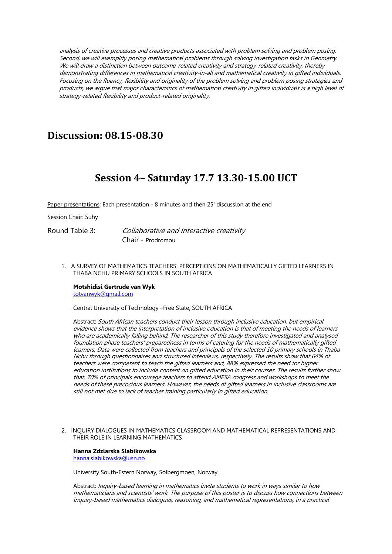analysis of creative processes and creative products associated with problem solving and problem posing. Second, we will exemplify posing mathematical problems through solving investigation tasks in Geometry. We will draw a distinction between outcome-related creativity and strategy-related creativity, thereby demonstrating differences in mathematical creativity-in-all and mathematical creativity in gifted individuals. Focusing on the fluency, flexibility and originality of the problem solving and problem posing strategies and products, we argue that major characteristics of mathematical creativity in gifted individuals is a high level of strategy-related flexibility and product-related originality.

# **Discussion: 08.15-08.30**

# **Session 4– Saturday 17.7 13.30-15.00 UCT**

Paper presentations: Each presentation - 8 minutes and then 25' discussion at the end

Session Chair: Suhy

Round Table 3: Collaborative and Interactive creativity Chair - Prodromou

1. A SURVEY OF MATHEMATICS TEACHERS' PERCEPTIONS ON MATHEMATICALLY GIFTED LEARNERS IN THABA NCHU PRIMARY SCHOOLS IN SOUTH AFRICA

### **Motshidisi Gertrude van Wyk**

totvanwyk@gmail.com

Central University of Technology –Free State, SOUTH AFRICA

Abstract: South African teachers conduct their lesson through inclusive education, but empirical evidence shows that the interpretation of inclusive education is that of meeting the needs of learners who are academically falling behind. The researcher of this study therefore investigated and analysed foundation phase teachers' preparedness in terms of catering for the needs of mathematically gifted learners. Data were collected from teachers and principals of the selected 10 primary schools in Thaba Nchu through questionnaires and structured interviews, respectively. The results show that 64% of teachers were competent to teach the gifted learners and, 88% expressed the need for higher education institutions to include content on gifted education in their courses. The results further show that, 70% of principals encourage teachers to attend AMESA congress and workshops to meet the needs of these precocious learners. However, the needs of gifted learners in inclusive classrooms are still not met due to lack of teacher training particularly in gifted education.

2. INQUIRY DIALOGUES IN MATHEMATICS CLASSROOM AND MATHEMATICAL REPRESENTATIONS AND THEIR ROLE IN LEARNING MATHEMATICS

**Hanna Zdziarska Slabikowska** hanna.slabikowska@usn.no

University South-Estern Norway, Solbergmoen, Norway

Abstract: Inquiry-based learning in mathematics invite students to work in ways similar to how mathematicians and scientists' work. The purpose of this poster is to discuss how connections between inquiry-based mathematics dialogues, reasoning, and mathematical representations, in a practical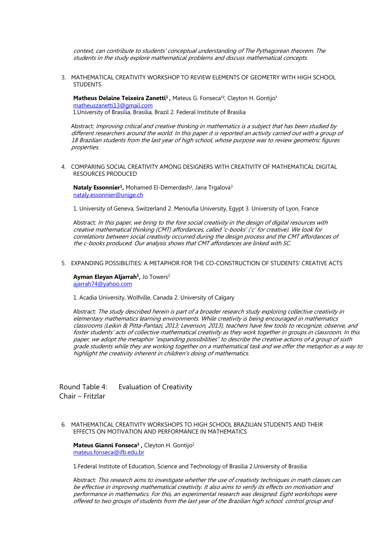context, can contribute to students' conceptual understanding of The Pythagorean theorem. The students in the study explore mathematical problems and discuss mathematical concepts.

3. MATHEMATICAL CREATIVITY WORKSHOP TO REVIEW ELEMENTS OF GEOMETRY WITH HIGH SCHOOL **STUDENTS** 

Matheus Delaine Teixeira Zanetti<sup>1</sup>, Mateus G. Fonseca<sup>12</sup>, Cleyton H. Gontijo<sup>1</sup> matheuszanetti13@gmail.com 1.University of Brasilia, Brasilia, Brazil 2. Federal Institute of Brasilia

Abstract: Improving critical and creative thinking in mathematics is a subject that has been studied by different researchers around the world. In this paper it is reported an activity carried out with a group of 18 Brazilian students from the last year of high school, whose purpose was to review geometric figures properties.

4. COMPARING SOCIAL CREATIVITY AMONG DESIGNERS WITH CREATIVITY OF MATHEMATICAL DIGITAL RESOURCES PRODUCED

Nataly Essonnier<sup>1</sup>, Mohamed El-Demerdash<sup>2</sup>, Jana Trgalová<sup>3</sup> nataly.essonnier@unige.ch

1. University of Geneva, Switzerland 2. Menoufia University, Egypt 3. University of Lyon, France

Abstract: In this paper, we bring to the fore social creativity in the design of digital resources with creative mathematical thinking (CMT) affordances, called 'c-books' ('c' for creative). We look for correlations between social creativity occurred during the design process and the CMT affordances of the c-books produced. Our analysis shows that CMT affordances are linked with SC.

5. EXPANDING POSSIBILITIES: A METAPHOR FOR THE CO-CONSTRUCTION OF STUDENTS' CREATIVE ACTS

Ayman Eleyan Aljarrah<sup>1</sup>, Jo Towers<sup>2</sup> ajarrah74@yahoo.com

1. Acadia University, Wolfville, Canada 2. University of Calgary

Abstract: The study described herein is part of a broader research study exploring collective creativity in elementary mathematics learning environments. While creativity is being encouraged in mathematics classrooms (Leikin & Pitta-Pantazi, 2013; Levenson, 2013), teachers have few tools to recognize, observe, and foster students' acts of collective mathematical creativity as they work together in groups in classroom. In this paper, we adopt the metaphor "expanding possibilities" to describe the creative actions of a group of sixth grade students while they are working together on a mathematical task and we offer the metaphor as a way to highlight the creativity inherent in children's doing of mathematics.

Round Table 4: Evaluation of Creativity Chair – Fritzlar

6. MATHEMATICAL CREATIVITY WORKSHOPS TO HIGH SCHOOL BRAZILIAN STUDENTS AND THEIR EFFECTS ON MOTIVATION AND PERFORMANCE IN MATHEMATICS

**Mateus Gianni Fonseca1 ,** Cleyton H. Gontijo2 mateus.fonseca@ifb.edu.br

1.Federal Institute of Education, Science and Technology of Brasilia 2.University of Brasilia

Abstract: This research aims to investigate whether the use of creativity techniques in math classes can be effective in improving mathematical creativity. It also aims to verify its effects on motivation and performance in mathematics. For this, an experimental research was designed. Eight workshops were offered to two groups of students from the last year of the Brazilian high school: control group and